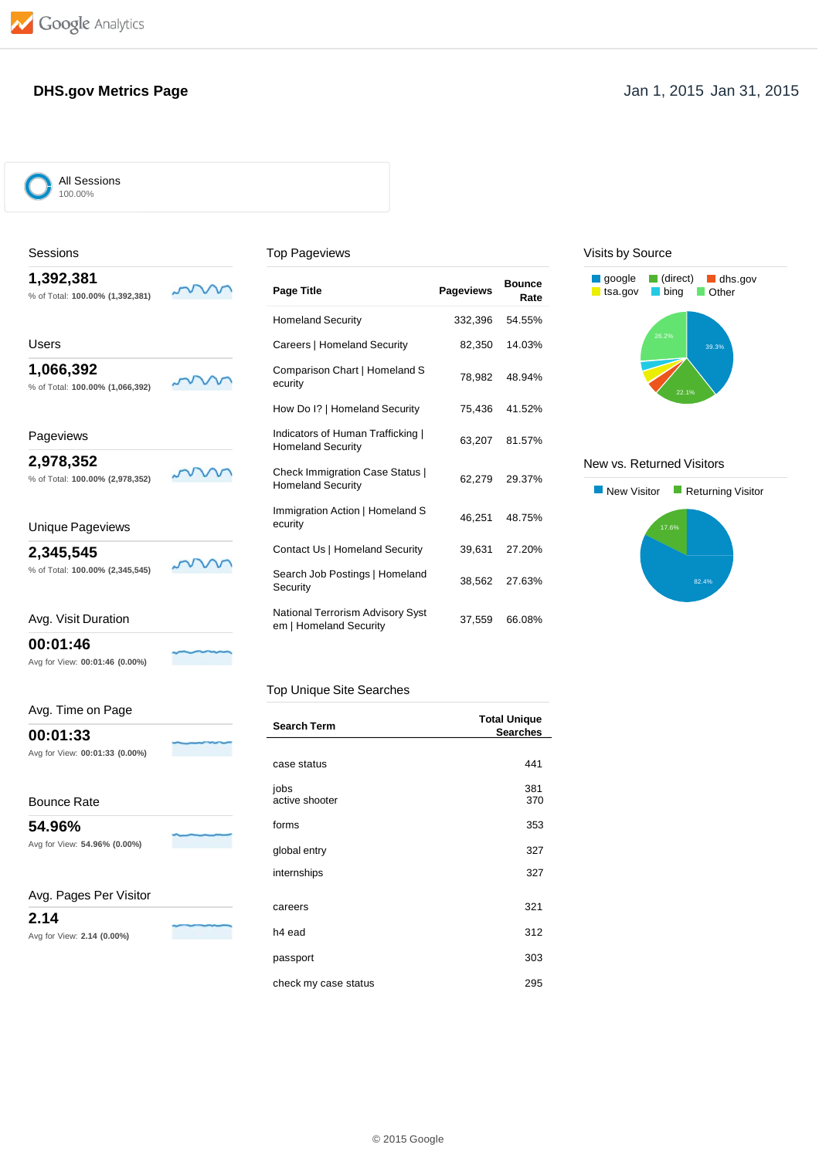### **DHS.gov Metrics Page** Jan 1, 2015 Jan 31, 2015

All Sessions 100.00%

### Sessions

**1,392,381**

% of Total: **100.00% (1,392,381)**

### Top Pageviews

| Users                           |  |
|---------------------------------|--|
| 1,066,392                       |  |
| % of Total: 100.00% (1,066,392) |  |

## Pageviews

**2,978,352** % of Total: **100.00% (2,978,352)**

### Unique Pageviews

**2,345,545**

% of Total: **100.00% (2,345,545)**

 $\mathcal{N}$ 

### Avg. Visit Duration

**00:01:46**

Avg for View: **00:01:46 (0.00%)**

### Avg. Time on Page

**00:01:33** Avg for View: **00:01:33 (0.00%)**

Bounce Rate

**54.96%**

Avg for View: **54.96% (0.00%)**

### Avg. Pages Per Visitor

**2.14**

|  |  | Avg for View: 2.14 (0.00%) |  |
|--|--|----------------------------|--|
|  |  |                            |  |

| <b>Page Title</b>                                                  | <b>Pageviews</b> | <b>Bounce</b><br>Rate |
|--------------------------------------------------------------------|------------------|-----------------------|
| <b>Homeland Security</b>                                           | 332,396          | 54.55%                |
| Careers   Homeland Security                                        | 82,350           | 14.03%                |
| Comparison Chart   Homeland S<br>ecurity                           | 78,982           | 48.94%                |
| How Do I?   Homeland Security                                      | 75,436           | 41.52%                |
| Indicators of Human Trafficking  <br><b>Homeland Security</b>      | 63,207           | 81.57%                |
| <b>Check Immigration Case Status  </b><br><b>Homeland Security</b> | 62.279           | 29.37%                |
| Immigration Action   Homeland S<br>ecurity                         | 46.251           | 48.75%                |
| Contact Us   Homeland Security                                     | 39,631           | 27.20%                |
| Search Job Postings   Homeland<br>Security                         | 38,562           | 27.63%                |
| <b>National Terrorism Advisory Syst</b><br>em   Homeland Security  | 37,559           | 66.08%                |

### Visits by Source



### New vs. Returned Visitors



### Top Unique Site Searches

| <b>Search Term</b>   | <b>Total Unique</b><br><b>Searches</b> |
|----------------------|----------------------------------------|
|                      |                                        |
| case status          | 441                                    |
| jobs                 | 381                                    |
| active shooter       | 370                                    |
| forms                | 353                                    |
| global entry         | 327                                    |
| internships          | 327                                    |
|                      |                                        |
| careers              | 321                                    |
| h <sub>4</sub> ead   | 312                                    |
| passport             | 303                                    |
| check my case status | 295                                    |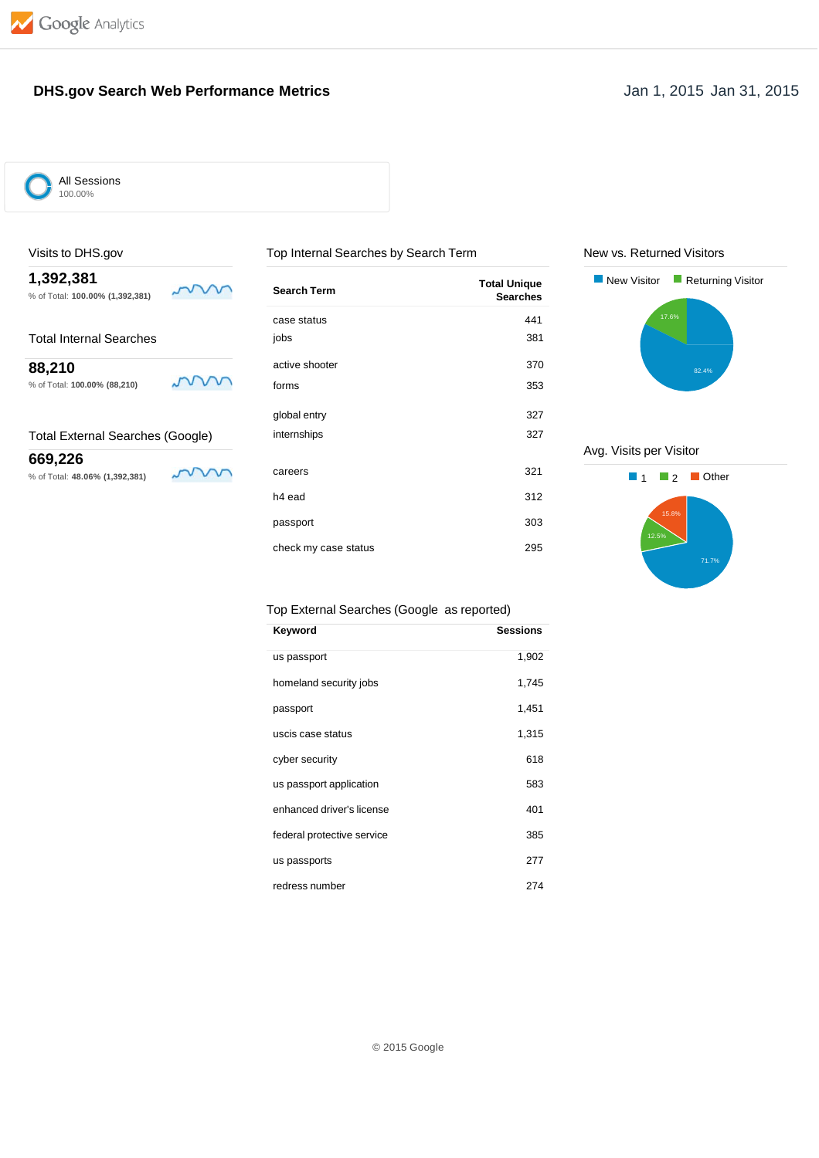

### **DHS.gov Search Web Performance Metrics Jan 1, 2015 Jan 31, 2015**



All Sessions 100.00%

### Visits to DHS.gov Top Internal Searches by Search Term

| 1,392,381<br>% of Total: 100.00% (1,392,381) | <b>Search Term</b>   | <b>Total Unique</b><br><b>Searches</b> |
|----------------------------------------------|----------------------|----------------------------------------|
|                                              | case status          | 441                                    |
| Total Internal Searches                      | jobs                 | 381                                    |
| 88,210                                       | active shooter       | 370                                    |
| % of Total: 100.00% (88,210)                 | forms                | 353                                    |
|                                              | global entry         | 327                                    |
| Total External Searches (Google)             | internships          | 327                                    |
| 669,226<br>% of Total: 48.06% (1,392,381)    | careers              | 321                                    |
|                                              | h <sub>4</sub> ead   | 312                                    |
|                                              | passport             | 303                                    |
|                                              | check my case status | 295                                    |

### New vs. Returned Visitors



### Avg. Visits per Visitor

# 1 **2** ■ Other 15.8% 71.7%

### Top External Searches (Google as reported)

| Keyword                    | <b>Sessions</b> |
|----------------------------|-----------------|
| us passport                | 1,902           |
| homeland security jobs     | 1,745           |
| passport                   | 1,451           |
| uscis case status          | 1,315           |
| cyber security             | 618             |
| us passport application    | 583             |
| enhanced driver's license  | 401             |
| federal protective service | 385             |
| us passports               | 277             |
| redress number             | 274             |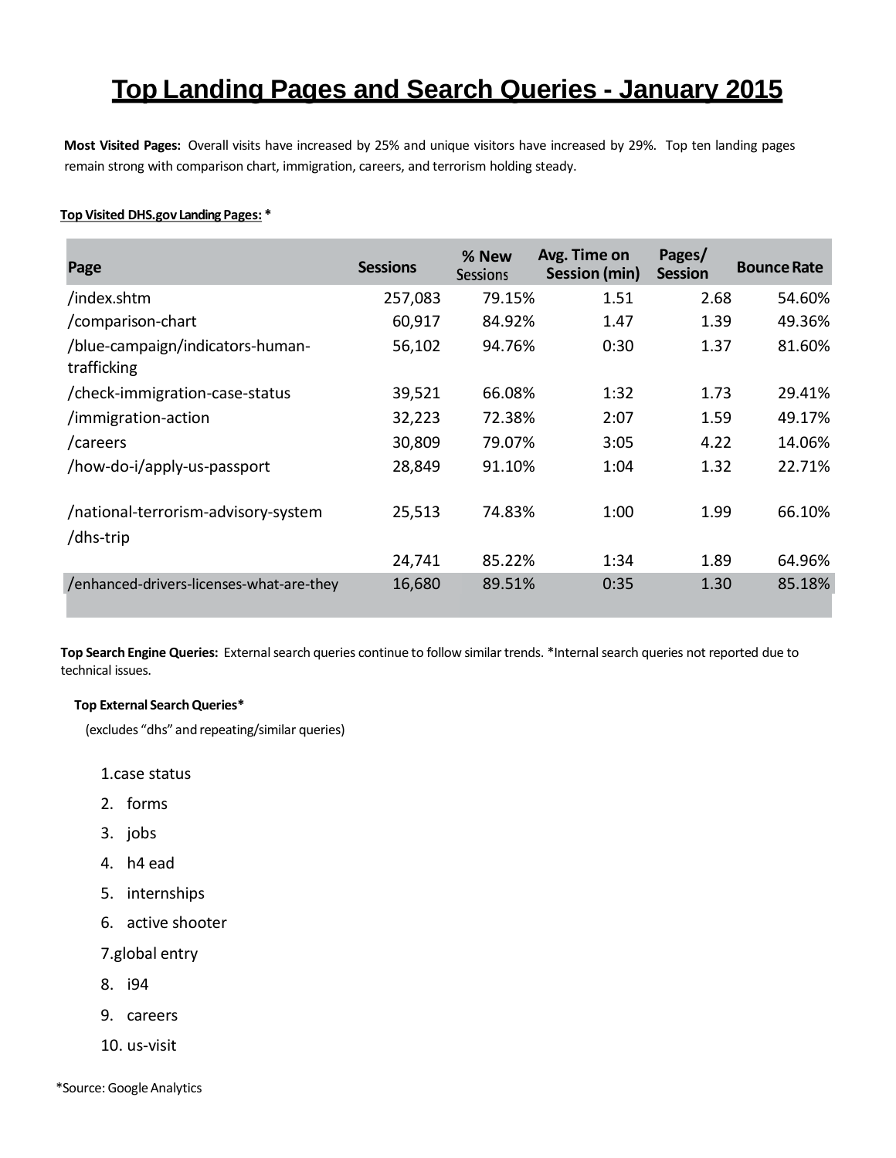# **Top Landing Pages and Search Queries - January 2015**

**Most Visited Pages:** Overall visits have increased by 25% and unique visitors have increased by 29%. Top ten landing pages remain strong with comparison chart, immigration, careers, and terrorism holding steady.

### **Top Visited DHS.gov Landing Pages: \***

| Page                                             | <b>Sessions</b> | % New<br><b>Sessions</b> | Avg. Time on<br>Session (min) | Pages/<br><b>Session</b> | <b>Bounce Rate</b> |
|--------------------------------------------------|-----------------|--------------------------|-------------------------------|--------------------------|--------------------|
| /index.shtm                                      | 257,083         | 79.15%                   | 1.51                          | 2.68                     | 54.60%             |
| /comparison-chart                                | 60,917          | 84.92%                   | 1.47                          | 1.39                     | 49.36%             |
| /blue-campaign/indicators-human-<br>trafficking  | 56,102          | 94.76%                   | 0:30                          | 1.37                     | 81.60%             |
| /check-immigration-case-status                   | 39,521          | 66.08%                   | 1:32                          | 1.73                     | 29.41%             |
| /immigration-action                              | 32,223          | 72.38%                   | 2:07                          | 1.59                     | 49.17%             |
| /careers                                         | 30,809          | 79.07%                   | 3:05                          | 4.22                     | 14.06%             |
| /how-do-i/apply-us-passport                      | 28,849          | 91.10%                   | 1:04                          | 1.32                     | 22.71%             |
| /national-terrorism-advisory-system<br>/dhs-trip | 25,513          | 74.83%                   | 1:00                          | 1.99                     | 66.10%             |
|                                                  | 24,741          | 85.22%                   | 1:34                          | 1.89                     | 64.96%             |
| /enhanced-drivers-licenses-what-are-they         | 16,680          | 89.51%                   | 0:35                          | 1.30                     | 85.18%             |

**Top Search Engine Queries:** External search queries continue to follow similar trends. \*Internal search queries not reported due to technical issues.

### **Top External Search Queries\***

(excludes "dhs" and repeating/similar queries)

1.case status

- 2. forms
- 3. jobs
- 4. h4 ead
- 5. internships
- 6. active shooter
- 7.global entry
- 8. i94
- 9. careers
- 10. us-visit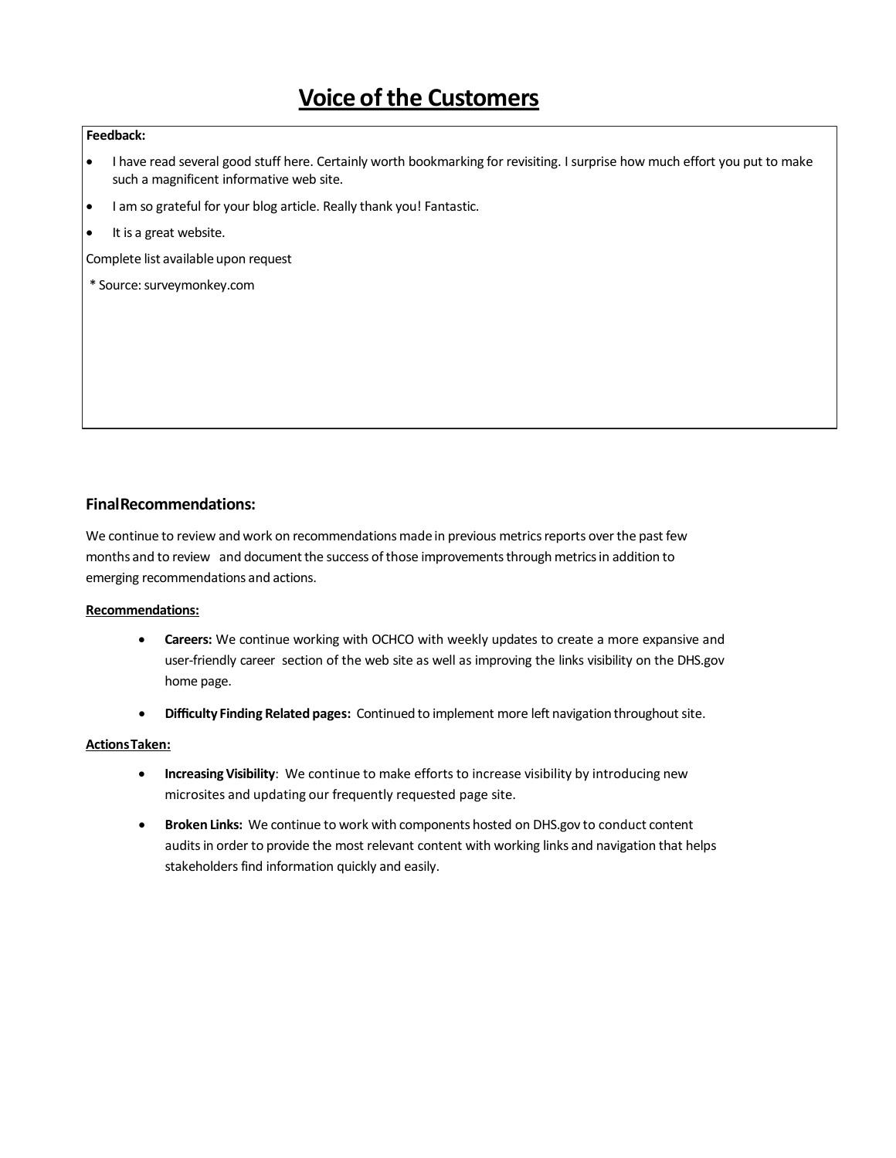# **Voice of the Customers**

### **Feedback:**

- I have read several good stuff here. Certainly worth bookmarking for revisiting. I surprise how much effort you put to make such a magnificent informative web site.
- I am so grateful for your blog article. Really thank you! Fantastic.
- It is a great website.

Complete list available upon request

\* Source: surveymonkey.com

### **FinalRecommendations:**

We continue to review and work on recommendations made in previous metrics reports over the past few months and to review and document the success of those improvements through metrics in addition to emerging recommendations and actions.

### **Recommendations:**

- **Careers:** We continue working with OCHCO with weekly updates to create a more expansive and user-friendly career section of the web site as well as improving the links visibility on the DHS.gov home page.
- **Difficulty Finding Related pages:** Continued to implement more left navigation throughoutsite.

### **ActionsTaken:**

- **Increasing Visibility**: We continue to make efforts to increase visibility by introducing new microsites and updating our frequently requested page site.
- **Broken Links:** We continue to work with components hosted on DHS.gov to conduct content auditsin order to provide the most relevant content with working links and navigation that helps stakeholders find information quickly and easily.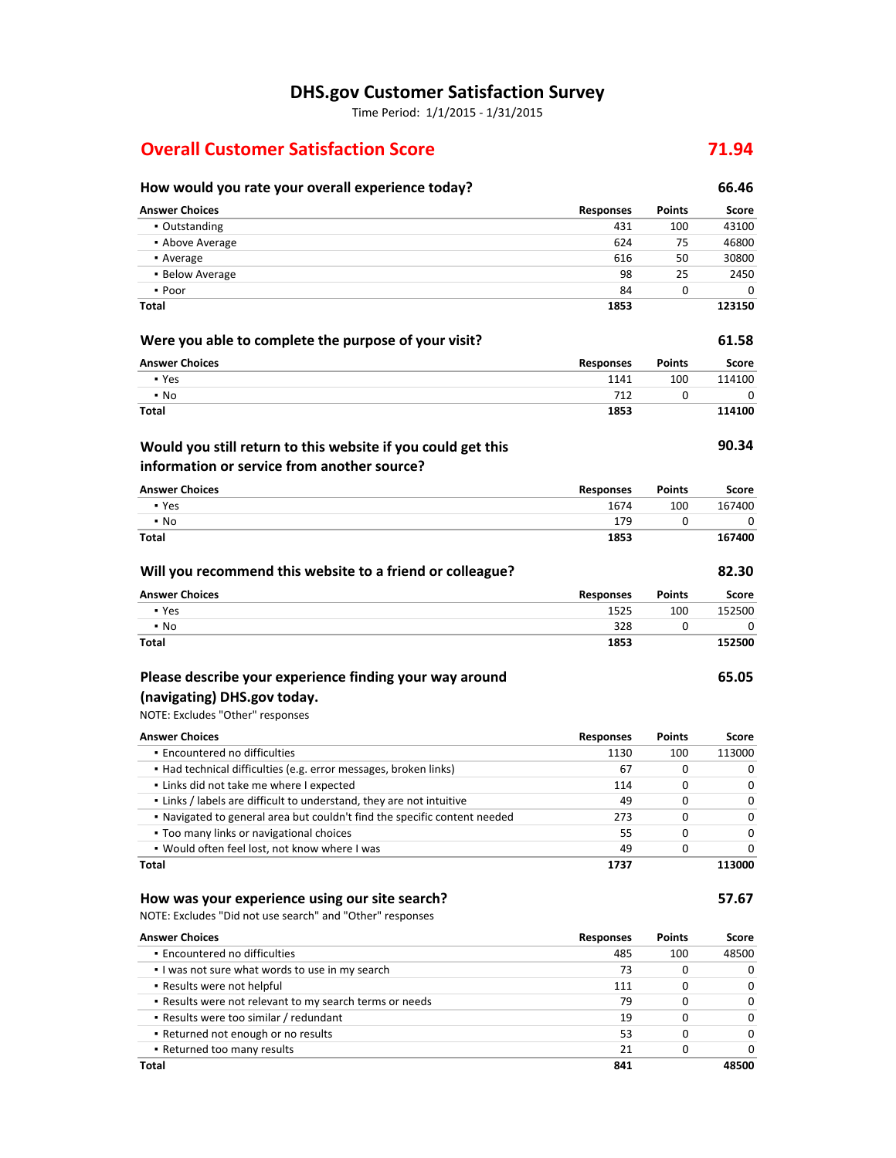# **DHS.gov Customer Satisfaction Survey**

Time Period: 1/1/2015 ‐ 1/31/2015

# **Overall Customer Satisfaction Score 71.94**

| How would you rate your overall experience today?                                  |                          |               | 66.46          |
|------------------------------------------------------------------------------------|--------------------------|---------------|----------------|
| <b>Answer Choices</b>                                                              | <b>Responses</b>         | Points        | <b>Score</b>   |
| • Outstanding                                                                      | 431                      | 100           | 43100          |
| • Above Average                                                                    | 624                      | 75            | 46800          |
| • Average                                                                          | 616                      | 50            | 30800          |
| • Below Average                                                                    | 98                       | 25            | 2450           |
| • Poor                                                                             | 84                       | 0             | 0              |
| Total                                                                              | 1853                     |               | 123150         |
| Were you able to complete the purpose of your visit?                               |                          |               | 61.58          |
| <b>Answer Choices</b>                                                              | <b>Responses</b>         | Points        | <b>Score</b>   |
| • Yes                                                                              | 1141                     | 100           | 114100         |
| $\blacksquare$ No                                                                  | 712                      | 0             | 0              |
| Total                                                                              | 1853                     |               | 114100         |
| Would you still return to this website if you could get this                       |                          |               | 90.34          |
| information or service from another source?<br><b>Answer Choices</b>               |                          |               |                |
|                                                                                    | <b>Responses</b>         | Points        | Score          |
| • Yes<br>$\blacksquare$ No                                                         | 1674<br>179              | 100<br>0      | 167400<br>0    |
| Total                                                                              | 1853                     |               | 167400         |
|                                                                                    |                          |               |                |
| Will you recommend this website to a friend or colleague?                          |                          |               | 82.30          |
| <b>Answer Choices</b><br>• Yes                                                     | <b>Responses</b><br>1525 | Points<br>100 | Score          |
| $\blacksquare$ No                                                                  | 328                      | 0             | 152500<br>0    |
| Total                                                                              | 1853                     |               | 152500         |
| Please describe your experience finding your way around                            |                          |               | 65.05          |
|                                                                                    |                          |               |                |
| (navigating) DHS.gov today.                                                        |                          |               |                |
| NOTE: Excludes "Other" responses                                                   |                          |               |                |
| <b>Answer Choices</b>                                                              | <b>Responses</b>         | <b>Points</b> | Score          |
| · Encountered no difficulties                                                      | 1130                     | 100           | 113000         |
| • Had technical difficulties (e.g. error messages, broken links)                   | 67                       | 0             | 0              |
| . Links did not take me where I expected                                           | 114                      | 0             | 0              |
| . Links / labels are difficult to understand, they are not intuitive               | 49                       | 0             | 0              |
| . Navigated to general area but couldn't find the specific content needed          | 273                      | 0             | 0              |
| • Too many links or navigational choices                                           | 55                       | 0             | 0              |
| . Would often feel lost, not know where I was                                      | 49                       | 0             | 0              |
| Total                                                                              | 1737                     |               | 113000         |
| How was your experience using our site search?                                     |                          |               | 57.67          |
| NOTE: Excludes "Did not use search" and "Other" responses<br><b>Answer Choices</b> |                          |               |                |
| · Encountered no difficulties                                                      | <b>Responses</b><br>485  | Points<br>100 | Score<br>48500 |
| . I was not sure what words to use in my search                                    | 73                       | 0             | 0              |
| • Results were not helpful                                                         | 111                      | 0             | 0              |
| . Results were not relevant to my search terms or needs                            | 79                       | 0             | 0              |
| - Results were too similar / redundant                                             | 19                       | 0             | 0              |
| . Returned not enough or no results                                                | 53                       | 0             | 0              |
| . Returned too many results                                                        | 21                       | 0             | 0              |

**Total 841 48500**